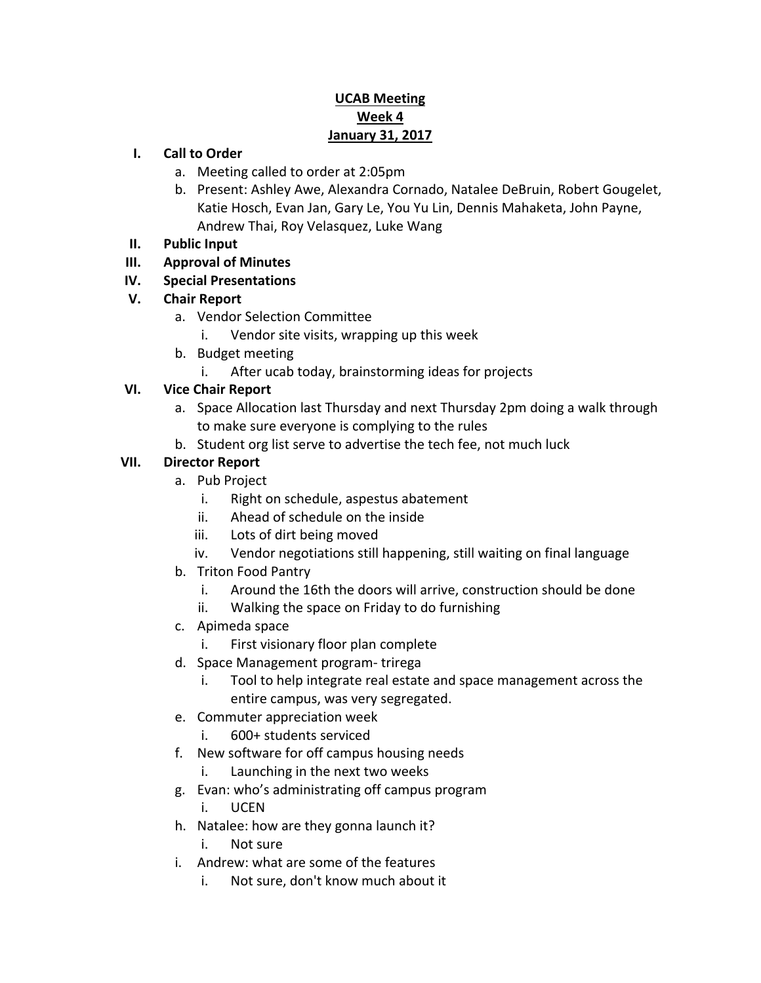## **UCAB Meeting Week 4 January 31, 2017**

#### **I. Call to Order**

- a. Meeting called to order at 2:05pm
- b. Present: Ashley Awe, Alexandra Cornado, Natalee DeBruin, Robert Gougelet, Katie Hosch, Evan Jan, Gary Le, You Yu Lin, Dennis Mahaketa, John Payne, Andrew Thai, Roy Velasquez, Luke Wang
- **II. Public Input**
- **III. Approval of Minutes**
- **IV. Special Presentations**
- **V. Chair Report**
	- a. Vendor Selection Committee
		- i. Vendor site visits, wrapping up this week
	- b. Budget meeting
		- i. After ucab today, brainstorming ideas for projects

### **VI. Vice Chair Report**

- a. Space Allocation last Thursday and next Thursday 2pm doing a walk through to make sure everyone is complying to the rules
- b. Student org list serve to advertise the tech fee, not much luck

## **VII. Director Report**

- a. Pub Project
	- i. Right on schedule, aspestus abatement
	- ii. Ahead of schedule on the inside
	- iii. Lots of dirt being moved
	- iv. Vendor negotiations still happening, still waiting on final language
- b. Triton Food Pantry
	- i. Around the 16th the doors will arrive, construction should be done
	- ii. Walking the space on Friday to do furnishing
- c. Apimeda space
	- i. First visionary floor plan complete
- d. Space Management program- trirega
	- i. Tool to help integrate real estate and space management across the entire campus, was very segregated.
- e. Commuter appreciation week
	- i. 600+ students serviced
- f. New software for off campus housing needs
	- i. Launching in the next two weeks
- g. Evan: who's administrating off campus program
	- i. UCEN
- h. Natalee: how are they gonna launch it?
	- i. Not sure
- i. Andrew: what are some of the features
	- i. Not sure, don't know much about it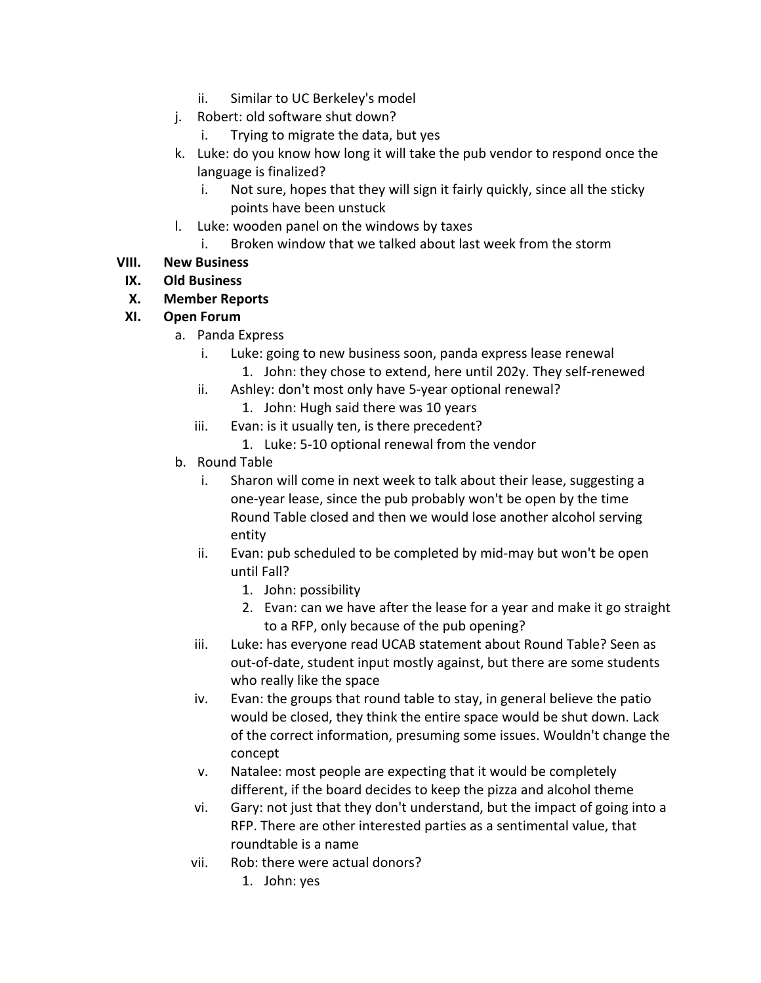- ii. Similar to UC Berkeley's model
- j. Robert: old software shut down?
	- i. Trying to migrate the data, but yes
- k. Luke: do you know how long it will take the pub vendor to respond once the language is finalized?
	- i. Not sure, hopes that they will sign it fairly quickly, since all the sticky points have been unstuck
- l. Luke: wooden panel on the windows by taxes
	- i. Broken window that we talked about last week from the storm

# **VIII. New Business**

# **IX. Old Business**

# **X. Member Reports**

## **XI. Open Forum**

- a. Panda Express
	- i. Luke: going to new business soon, panda express lease renewal
		- 1. John: they chose to extend, here until 202y. They self-renewed
	- ii. Ashley: don't most only have 5-year optional renewal? 1. John: Hugh said there was 10 years
	- iii. Evan: is it usually ten, is there precedent?
		- 1. Luke: 5-10 optional renewal from the vendor
- b. Round Table
	- i. Sharon will come in next week to talk about their lease, suggesting a one-year lease, since the pub probably won't be open by the time Round Table closed and then we would lose another alcohol serving entity
	- ii. Evan: pub scheduled to be completed by mid-may but won't be open until Fall?
		- 1. John: possibility
		- 2. Evan: can we have after the lease for a year and make it go straight to a RFP, only because of the pub opening?
	- iii. Luke: has everyone read UCAB statement about Round Table? Seen as out-of-date, student input mostly against, but there are some students who really like the space
	- iv. Evan: the groups that round table to stay, in general believe the patio would be closed, they think the entire space would be shut down. Lack of the correct information, presuming some issues. Wouldn't change the concept
	- v. Natalee: most people are expecting that it would be completely different, if the board decides to keep the pizza and alcohol theme
	- vi. Gary: not just that they don't understand, but the impact of going into a RFP. There are other interested parties as a sentimental value, that roundtable is a name
	- vii. Rob: there were actual donors?
		- 1. John: yes